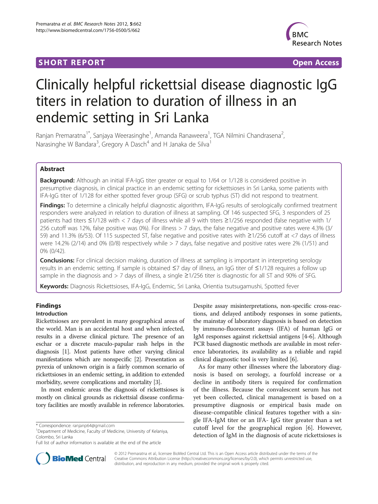# **SHORT REPORT SHORT CONSUMING THE SHORT CONSUMING THE SHORT CONSUMING THE SHORT CONSUMING THE SHORT CONSUMING THE SHORT CONSUMING THE SHORT CONSUMING THE SHORT CONSUMING THE SHORT CONSUMING THE SHORT CONSUMING THE SHORT**



# Clinically helpful rickettsial disease diagnostic IgG titers in relation to duration of illness in an endemic setting in Sri Lanka

Ranjan Premaratna<sup>1\*</sup>, Sanjaya Weerasinghe<sup>1</sup>, Amanda Ranaweera<sup>1</sup>, TGA Nilmini Chandrasena<sup>2</sup> , Narasinghe W Bandara<sup>3</sup>, Gregory A Dasch<sup>4</sup> and H Janaka de Silva<sup>1</sup>

## Abstract

**Background:** Although an initial IFA-IgG titer greater or equal to 1/64 or 1/128 is considered positive in presumptive diagnosis, in clinical practice in an endemic setting for rickettsioses in Sri Lanka, some patients with IFA-IgG titer of 1/128 for either spotted fever group (SFG) or scrub typhus (ST) did not respond to treatment.

Findings: To determine a clinically helpful diagnostic algorithm, IFA-IgG results of serologically confirmed treatment responders were analyzed in relation to duration of illness at sampling. Of 146 suspected SFG, 3 responders of 25 patients had titers ≤1/128 with < 7 days of illness while all 9 with titers ≥1/256 responded (false negative with 1/ 256 cutoff was 12%, false positive was 0%). For illness > 7 days, the false negative and positive rates were 4.3% (3/ 59) and 11.3% (6/53). Of 115 suspected ST, false negative and positive rates with ≥1/256 cutoff at <7 days of illness were 14.2% (2/14) and 0% (0/8) respectively while > 7 days, false negative and positive rates were 2% (1/51) and 0% (0/42).

**Conclusions:** For clinical decision making, duration of illness at sampling is important in interpreting serology results in an endemic setting. If sample is obtained ≤7 day of illness, an IgG titer of ≤1/128 requires a follow up sample in the diagnosis and > 7 days of illness, a single ≥1/256 titer is diagnostic for all ST and 90% of SFG.

Keywords: Diagnosis Rickettsioses, IFA-IgG, Endemic, Sri Lanka, Orientia tsutsugamushi, Spotted fever

## Findings

## Introduction

Rickettsioses are prevalent in many geographical areas of the world. Man is an accidental host and when infected, results in a diverse clinical picture. The presence of an eschar or a discrete maculo-papular rash helps in the diagnosis [\[1](#page-2-0)]. Most patients have other varying clinical manifestations which are nonspecific [[2](#page-2-0)]. Presentation as pyrexia of unknown origin is a fairly common scenario of rickettsioses in an endemic setting, in addition to extended morbidity, severe complications and mortality [\[3\]](#page-2-0).

In most endemic areas the diagnosis of rickettsioses is mostly on clinical grounds as rickettsial disease confirmatory facilities are mostly available in reference laboratories. Despite assay misinterpretations, non-specific cross-reactions, and delayed antibody responses in some patients, the mainstay of laboratory diagnosis is based on detection by immuno-fluorescent assays (IFA) of human IgG or IgM responses against rickettsial antigens [\[4](#page-2-0)-[6](#page-2-0)]. Although PCR based diagnostic methods are available in most reference laboratories, its availability as a reliable and rapid clinical diagnostic tool is very limited [\[6\]](#page-2-0).

As for many other illnesses where the laboratory diagnosis is based on serology, a fourfold increase or a decline in antibody titers is required for confirmation of the illness. Because the convalescent serum has not yet been collected, clinical management is based on a presumptive diagnosis or empirical basis made on disease-compatible clinical features together with a single IFA-IgM titer or an IFA- IgG titer greater than a set cutoff level for the geographical region [[6\]](#page-2-0). However, detection of IgM in the diagnosis of acute rickettsioses is



© 2012 Premaratna et al.; licensee BioMed Central Ltd. This is an Open Access article distributed under the terms of the Creative Commons Attribution License (<http://creativecommons.org/licenses/by/2.0>), which permits unrestricted use, distribution, and reproduction in any medium, provided the original work is properly cited.

<sup>\*</sup> Correspondence: [ranjanp64@gmail.com](mailto:ranjanp64@gmail.com) <sup>1</sup>

<sup>&</sup>lt;sup>1</sup>Department of Medicine, Faculty of Medicine, University of Kelaniya, Colombo, Sri Lanka

Full list of author information is available at the end of the article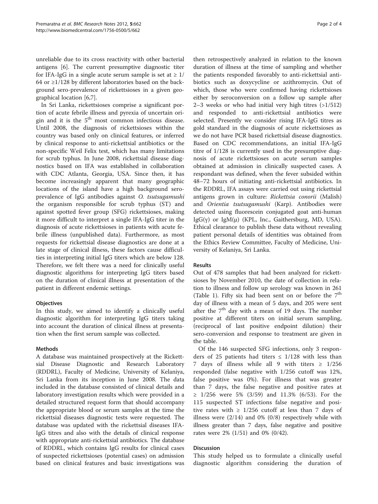unreliable due to its cross reactivity with other bacterial antigens [[6\]](#page-2-0). The current presumptive diagnostic titer for IFA-IgG in a single acute serum sample is set at  $\geq 1/$ 64 or ≥1/128 by different laboratories based on the background sero-prevalence of rickettsioses in a given geographical location [[6,7\]](#page-2-0).

In Sri Lanka, rickettsioses comprise a significant portion of acute febrile illness and pyrexia of uncertain origin and it is the  $5<sup>th</sup>$  most common infectious disease. Until 2008, the diagnosis of rickettsioses within the country was based only on clinical features, or inferred by clinical response to anti-rickettsial antibiotics or the non-specific Weil Felix test, which has many limitations for scrub typhus. In June 2008, rickettsial disease diagnostics based on IFA was established in collaboration with CDC Atlanta, Georgia, USA. Since then, it has become increasingly apparent that many geographic locations of the island have a high background seroprevalence of IgG antibodies against O. tsutsugamushi the organism responsible for scrub typhus (ST) and against spotted fever group (SFG) rickettsioses, making it more difficult to interpret a single IFA-IgG titer in the diagnosis of acute rickettsioses in patients with acute febrile illness (unpublished data). Furthermore, as most requests for rickettsial disease diagnostics are done at a late stage of clinical illness, these factors cause difficulties in interpreting initial IgG titers which are below 128. Therefore, we felt there was a need for clinically useful diagnostic algorithms for interpreting IgG titers based on the duration of clinical illness at presentation of the patient in different endemic settings.

## **Objectives**

In this study, we aimed to identify a clinically useful diagnostic algorithm for interpreting IgG titers taking into account the duration of clinical illness at presentation when the first serum sample was collected.

## Methods

A database was maintained prospectively at the Rickettsial Disease Diagnostic and Research Laboratory (RDDRL), Faculty of Medicine, University of Kelaniya, Sri Lanka from its inception in June 2008. The data included in the database consisted of clinical details and laboratory investigation results which were provided in a detailed structured request form that should accompany the appropriate blood or serum samples at the time the rickettsial diseases diagnostic tests were requested. The database was updated with the rickettsial diseases IFA-IgG titres and also with the details of clinical response with appropriate anti-rickettsial antibiotics. The database of RDDRL, which contains IgG results for clinical cases of suspected rickettsioses (potential cases) on admission based on clinical features and basic investigations was

then retrospectively analyzed in relation to the known duration of illness at the time of sampling and whether the patients responded favorably to anti-rickettsial antibiotics such as doxycycline or azithromycin. Out of which, those who were confirmed having rickettsioses either by seroconversion on a follow up sample after 2–3 weeks or who had initial very high titres (>1/512) and responded to anti-rickettsial antibiotics were selected. Presently we consider rising IFA-IgG titres as gold standard in the diagnosis of acute rickettsioses as we do not have PCR based rickettsial disease diagnostics. Based on CDC recommendations, an initial IFA-IgG titre of 1/128 is currently used in the presumptive diagnosis of acute rickettsioses on acute serum samples obtained at admission in clinically suspected cases. A respondant was defined, when the fever subsided within 48–72 hours of initiating anti-rickettsial antibiotics. In the RDDRL, IFA assays were carried out using rickettsial antigens grown in culture: Rickettsia conorii (Malish) and Orientia tsutsugamushi (Karp). Antibodies were detected using fluorescein conjugated goat anti-human IgG( $\gamma$ ) or IgM( $\mu$ ) (KPL, Inc., Gaithersburg, MD, USA). Ethical clearance to publish these data without revealing patient personal details of identities was obtained from the Ethics Review Committee, Faculty of Medicine, University of Kelaniya, Sri Lanka.

## Results

Out of 478 samples that had been analyzed for rickettsioses by November 2010, the date of collection in relation to illness and follow up serology was known in 261 (Table [1](#page-2-0)). Fifty six had been sent on or before the  $7<sup>th</sup>$ day of illness with a mean of 5 days, and 205 were sent after the  $7<sup>th</sup>$  day with a mean of 19 days. The number positive at different titers on initial serum sampling, (reciprocal of last positive endpoint dilution) their sero-conversion and response to treatment are given in the table.

Of the 146 suspected SFG infections, only 3 responders of 25 patients had titers  $\leq$  1/128 with less than 7 days of illness while all 9 with titers  $\geq 1/256$ responded (false negative with 1/256 cutoff was 12%, false positive was 0%). For illness that was greater than 7 days, the false negative and positive rates at ≥ 1/256 were 5% (3/59) and 11.3% (6/53). For the 115 suspected ST infections false negative and positive rates with  $\geq 1/256$  cutoff at less than 7 days of illness were (2/14) and 0% (0/8) respectively while with illness greater than 7 days, false negative and positive rates were 2% (1/51) and 0% (0/42).

## **Discussion**

This study helped us to formulate a clinically useful diagnostic algorithm considering the duration of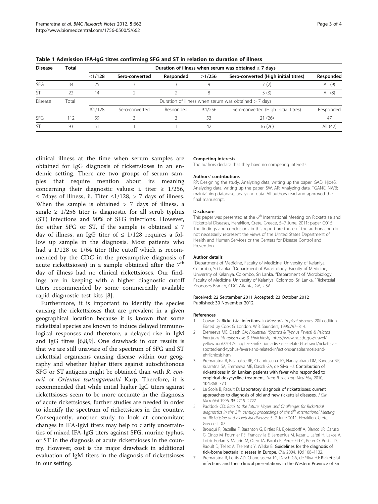| <b>Disease</b> | <b>Total</b> | Duration of illness when serum was obtained $\leq$ 7 days |                |           |              |                                      |           |
|----------------|--------------|-----------------------------------------------------------|----------------|-----------|--------------|--------------------------------------|-----------|
|                |              | <1/128                                                    | Sero-converted | Responded | >1/256       | Sero-converted (High initial titres) | Responded |
| <b>SFG</b>     | 34           | 25                                                        |                |           |              | (2)                                  | All $(9)$ |
| <b>ST</b>      | 22           | 14                                                        |                |           |              | 5(3)                                 | All $(8)$ |
| <b>Disease</b> | Total        | Duration of illness when serum was obtained $> 7$ days    |                |           |              |                                      |           |
|                |              | $\leq$ 1/128                                              | Sero-converted | Responded | $\geq$ 1/256 | Sero-converted (High initial titres) | Responded |
| <b>SFG</b>     | 112          | 59                                                        |                |           | 53           | 21(26)                               | 47        |
| <b>ST</b>      | 93           | 51                                                        |                |           | 42           | 16 (26)                              | All (42)  |

<span id="page-2-0"></span>Table 1 Admission IFA-IgG titres confirming SFG and ST in relation to duration of illness

clinical illness at the time when serum samples are obtained for IgG diagnosis of rickettsioses in an endemic setting. There are two groups of serum samples that require mention about its meaning concerning their diagnostic values: i. titer  $\geq$  1/256, ≤ 7days of illness, ii. Titer ≤1/128, > 7 days of illness. When the sample is obtained > 7 days of illness, a single  $\geq$  1/256 titer is diagnostic for all scrub typhus (ST) infections and 90% of SFG infections. However, for either SFG or ST, if the sample is obtained  $\leq 7$ day of illness, an IgG titer of  $\leq$  1/128 requires a follow up sample in the diagnosis. Most patients who had a 1/128 or 1/64 titer (the cutoff which is recommended by the CDC in the presumptive diagnosis of acute rickettsioses) in a sample obtained after the  $7<sup>th</sup>$ day of illness had no clinical rickettsioses. Our findings are in keeping with a higher diagnostic cutoff titers recommended by some commercially available rapid diagnostic test kits [\[8](#page-3-0)].

Furthermore, it is important to identify the species causing the rickettsioses that are prevalent in a given geographical location because it is known that some rickettsial species are known to induce delayed immunological responses and therefore, a delayed rise in IgM and IgG titres [6[,8](#page-3-0),[9](#page-3-0)]. One drawback in our results is that we are still unaware of the spectrum of SFG and ST rickettsial organisms causing disease within our geography and whether higher titers against autochthonous SFG or ST antigens might be obtained than with R. conorii or Orientia tsutsugamushi Karp. Therefore, it is recommended that while initial higher IgG titers against rickettsioses seem to be more accurate in the diagnosis of acute rickettsioses, further studies are needed in order to identify the spectrum of rickettsioses in the country. Consequently, another study to look at concomitant changes in IFA-IgM titers may help to clarify uncertainties of mixed IFA-IgG titers against SFG, murine typhus, or ST in the diagnosis of acute rickettsioses in the country. However, cost is the major drawback in additional evaluation of IgM titers in the diagnosis of rickettsioses in our setting.

#### Competing interests

The authors declare that they have no competing interests.

#### Authors' contributions

RP: Designing the study, Analyzing data, writing up the paper. GAD, HjdeS: Analyzing data, writing up the paper. SW, AR: Analyzing data, TGANC, NWB: maintaining database, analyzing data. All authors read and approved the final manuscript.

#### Disclosure

This paper was presented at the 6<sup>th</sup> International Meeting on Rickettsiae and Rickettsial Diseases, Heraklion, Crete, Greece, 5–7 June, 2011; paper O015. The findings and conclusions in this report are those of the authors and do not necessarily represent the views of the United States Department of Health and Human Services or the Centers for Disease Control and Prevention.

#### Author details

<sup>1</sup>Department of Medicine, Faculty of Medicine, University of Kelaniya, Colombo, Sri Lanka. <sup>2</sup>Department of Parasitology, Faculty of Medicine, University of Kelaniya, Colombo, Sri Lanka. <sup>3</sup>Department of Microbiology Faculty of Medicine, University of Kelaniya, Colombo, Sri Lanka. <sup>4</sup>Rickettsial Zoonoses Branch, CDC, Atlanta, GA, USA.

#### Received: 22 September 2011 Accepted: 23 October 2012 Published: 30 November 2012

#### References

- 1. Cowan G: Rickettsial infections. In Manson's tropical diseases. 20th edition Edited by Cook G. London: W.B. Saunders; 1996:797–814.
- 2. Eremeeva ME, Dasch GA: Rickettsial (Spotted & Typhus Fevers) & Related Infections (Anaplasmosis & Ehrlichiosis). [http://www.nc.cdc.gov/travel/](http://www.nc.cdc.gov/travel/yellowbook/2012/chapter-3-infectious-diseases-related-to-travel/rickettsial-spotted-and-typhus-fevers-and-related-infections-anaplasmosis-and-ehrlichiosis.htm) [yellowbook/2012/chapter-3-infectious-diseases-related-to-travel/rickettsial](http://www.nc.cdc.gov/travel/yellowbook/2012/chapter-3-infectious-diseases-related-to-travel/rickettsial-spotted-and-typhus-fevers-and-related-infections-anaplasmosis-and-ehrlichiosis.htm)[spotted-and-typhus-fevers-and-related-infections-anaplasmosis-and](http://www.nc.cdc.gov/travel/yellowbook/2012/chapter-3-infectious-diseases-related-to-travel/rickettsial-spotted-and-typhus-fevers-and-related-infections-anaplasmosis-and-ehrlichiosis.htm)[ehrlichiosis.htm.](http://www.nc.cdc.gov/travel/yellowbook/2012/chapter-3-infectious-diseases-related-to-travel/rickettsial-spotted-and-typhus-fevers-and-related-infections-anaplasmosis-and-ehrlichiosis.htm)
- 3. Premaratna R, Rajapakse RP, Chandrasena TG, Nanayakkara DM, Bandara NK, Kularatna SA, Eremeeva ME, Dasch GA, de Silva HJ: Contribution of rickettsioses in Sri Lankan patients with fever who responded to empirical doxycycline treatment. Trans R Soc Trop Med Hyg 2010, 104:368–370.
- 4. La Scola B, Raoult D: Laboratory diagnosis of rickettsioses: current approaches to diagnosis of old and new rickettsial diseases. J Clin Microbiol 1996, 35:2715–2727.
- 5. Paddock CD: Back to the future: Hopes and Challenges for Rickettsial diagnostics in the 21st century, proceedings of the  $6^{th}$  International Meeting on Rickettsiae and Rickettsial diseases: 5–7 June 2011. Heraklion, Crete, Greece. L 07.
- 6. Brouqui P, Bacellar F, Baranton G, Birtles RJ, Bjoërsdorff A, Blanco JR, Caruso G, Cinco M, Fournier PE, Francavilla E, Jensenius M, Kazar J, Laferl H, Lakos A, Lotric Furlan S, Maurin M, Oteo JA, Parola P, Perez-Eid C, Peter O, Postic D, Raoult D, Tellez A, Tselentis Y, Wilske B: Guidelines for the diagnosis of tick-borne bacterial diseases in Europe. CMI 2004, 10:1108–1132.
- 7. Premaratna R, Loftis AD, Chandrasena TG, Dasch GA, de Silva HJ: Rickettsial infections and their clinical presentations in the Western Province of Sri